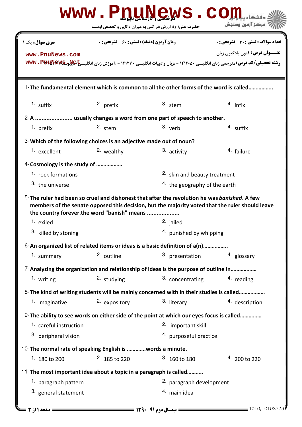|                                                                                                                                             |                                                    | WWW.PDUNGWS.C                                       |                                                                                                                                                                 |
|---------------------------------------------------------------------------------------------------------------------------------------------|----------------------------------------------------|-----------------------------------------------------|-----------------------------------------------------------------------------------------------------------------------------------------------------------------|
|                                                                                                                                             |                                                    | حضرت علی(ع): ارزش هر کس به میزان دانایی و تخصص اوست | مركز آزمون وسنجش                                                                                                                                                |
| سری سوال: یک ۱                                                                                                                              | <b>زمان آزمون (دقیقه) : تستی : 60 ٪ تشریحی : 0</b> |                                                     | تعداد سوالات : تستى : 30 - تشريحي : 0                                                                                                                           |
| www.PnuNews.com                                                                                                                             |                                                    |                                                     | <b>عنـــوان درس:</b> فنون یادگیری زبان<br>رشته تحصیلی/کد درس: مترجمی زبان انگلیسی ۱۲۱۲۰۵۰ - ،زبان وادبیات انگلیسی ۱۲۱۲۱۱۰ - ،آموزش زبان انگلیسیج WWW . PptaNewE |
|                                                                                                                                             |                                                    |                                                     | 1-The fundamental element which is common to all the other forms of the word is called                                                                          |
| 1. $s$ uffix                                                                                                                                | 2. prefix                                          | $3.$ stem                                           | $4.$ infix                                                                                                                                                      |
| 2-A  usually changes a word from one part of speech to another.                                                                             |                                                    |                                                     |                                                                                                                                                                 |
| 1. prefix                                                                                                                                   | 2. stem                                            | $3.$ verb                                           | 4. suffix                                                                                                                                                       |
| 3-Which of the following choices is an adjective made out of noun?                                                                          |                                                    |                                                     |                                                                                                                                                                 |
| <sup>1.</sup> excellent                                                                                                                     | 2. wealthy                                         | 3. activity                                         | <sup>4.</sup> failure                                                                                                                                           |
| 4-Cosmology is the study of                                                                                                                 |                                                    |                                                     |                                                                                                                                                                 |
| 1. rock formations                                                                                                                          | <sup>2.</sup> skin and beauty treatment            |                                                     |                                                                                                                                                                 |
| 3. the universe                                                                                                                             | <sup>4</sup> the geography of the earth            |                                                     |                                                                                                                                                                 |
| 5-The ruler had been so cruel and dishonest that after the revolution he was banished. A few<br>the country forever.the word "banish" means |                                                    |                                                     | members of the senate opposed this decision, but the majority voted that the ruler should leave                                                                 |
| <sup>1.</sup> exiled                                                                                                                        |                                                    | 2. jailed                                           |                                                                                                                                                                 |
| 3. killed by stoning                                                                                                                        |                                                    | 4. punished by whipping                             |                                                                                                                                                                 |
| 6-An organized list of related items or ideas is a basic definition of a(n)                                                                 |                                                    |                                                     |                                                                                                                                                                 |
| 1. summary                                                                                                                                  | 2. outline                                         | 3. presentation                                     | 4. glossary                                                                                                                                                     |
| 7-Analyzing the organization and relationship of ideas is the purpose of outline in                                                         |                                                    |                                                     |                                                                                                                                                                 |
| 1. writing                                                                                                                                  | 2. studying                                        | 3. concentrating                                    | 4. reading                                                                                                                                                      |
| 8- The kind of writing students will be mainly concerned with in their studies is called                                                    |                                                    |                                                     |                                                                                                                                                                 |
| 1. imaginative                                                                                                                              | 2. expository                                      | 3. literary                                         | 4. description                                                                                                                                                  |
| 9- The ability to see words on either side of the point at which our eyes focus is called                                                   |                                                    |                                                     |                                                                                                                                                                 |
| 1. careful instruction                                                                                                                      |                                                    | 2. important skill                                  |                                                                                                                                                                 |
| <sup>3.</sup> peripheral vision                                                                                                             |                                                    | 4. purposeful practice                              |                                                                                                                                                                 |
| 10-The normal rate of speaking English is words a minute.                                                                                   |                                                    |                                                     |                                                                                                                                                                 |
| 1. 180 to 200                                                                                                                               | $2.185$ to 220                                     | $3.160$ to 180                                      | $4.200$ to 220                                                                                                                                                  |
| 11-The most important idea about a topic in a paragraph is called                                                                           |                                                    |                                                     |                                                                                                                                                                 |
| 1. paragraph pattern                                                                                                                        |                                                    | 2. paragraph development                            |                                                                                                                                                                 |
| 3. general statement                                                                                                                        |                                                    | 4. main idea                                        |                                                                                                                                                                 |
| = صفحه 11ز 3                                                                                                                                |                                                    |                                                     | $=$ 1010/10102725                                                                                                                                               |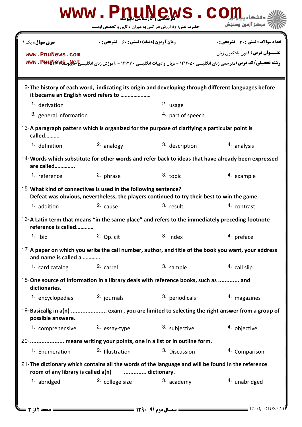|                                                                                                                                                              | حضرت علی(ع): ارزش هر کس به میزان دانایی و تخصص اوست | WWW.PDUNGWS.CO    | مركز آزمون وسنجش                                                                                                            |  |  |
|--------------------------------------------------------------------------------------------------------------------------------------------------------------|-----------------------------------------------------|-------------------|-----------------------------------------------------------------------------------------------------------------------------|--|--|
| سری سوال: یک ۱<br>www.PnuNews.com                                                                                                                            | <b>زمان آزمون (دقیقه) : تستی : 60 ٪ تشریحی : 0</b>  |                   | تعداد سوالات : تستي : 30 ٪ تشريحي : 0<br><b>عنـــوان درس:</b> فنون یادگیری زبان                                             |  |  |
|                                                                                                                                                              |                                                     |                   | رشته تحصیلی/کد درس: مترجمی زبان انگلیسی ۱۲۱۲۰۵۰ - ،زبان وادبیات انگلیسی ۱۲۱۲۱۱۰ - ،آموزش زبان انگلیسیگاهآیآیا www . PptaNew |  |  |
| 12-The history of each word, indicating its origin and developing through different languages before<br>it became an English word refers to                  |                                                     |                   |                                                                                                                             |  |  |
| 1. derivation                                                                                                                                                |                                                     | 2. usage          |                                                                                                                             |  |  |
| <sup>3.</sup> general information                                                                                                                            |                                                     | 4. part of speech |                                                                                                                             |  |  |
| 13-A paragraph pattern which is organized for the purpose of clarifying a particular point is<br>called                                                      |                                                     |                   |                                                                                                                             |  |  |
| 1. definition                                                                                                                                                | 2. analogy                                          | 3. description    | 4. analysis                                                                                                                 |  |  |
| 14-Words which substitute for other words and refer back to ideas that have already been expressed<br>are called                                             |                                                     |                   |                                                                                                                             |  |  |
| 1. reference                                                                                                                                                 | 2. phrase                                           | 3. topic          | 4. example                                                                                                                  |  |  |
| 15-What kind of connectives is used in the following sentence?<br>Defeat was obvious, nevertheless, the players continued to try their best to win the game. |                                                     |                   |                                                                                                                             |  |  |
| 1. addition                                                                                                                                                  | 2. cause                                            | 3. result         | 4. contrast                                                                                                                 |  |  |
| 16-A Latin term that means "in the same place" and refers to the immediately preceding footnote<br>reference is called                                       |                                                     |                   |                                                                                                                             |  |  |
| $1.$ Ibid                                                                                                                                                    | $2.$ Op. cit                                        | $3.$ Index        | 4. preface                                                                                                                  |  |  |
| 17-A paper on which you write the call number, author, and title of the book you want, your address<br>and name is called a                                  |                                                     |                   |                                                                                                                             |  |  |
| 1. card catalog                                                                                                                                              | 2. carrel                                           | 3. sample         | 4. call slip                                                                                                                |  |  |
| 18-One source of information in a library deals with reference books, such as  and<br>dictionaries.                                                          |                                                     |                   |                                                                                                                             |  |  |
| 1. encyclopedias                                                                                                                                             | 2. journals                                         | 3. periodicals    | 4. magazines                                                                                                                |  |  |
| 19-Basicallg in a(n)  exam, you are limited to selecting the right answer from a group of<br>possible answere.                                               |                                                     |                   |                                                                                                                             |  |  |
| 1. comprehensive                                                                                                                                             | 2. essay-type                                       | 3. subjective     | 4. objective                                                                                                                |  |  |
| 20-  means writing your points, one in a list or in outline form.                                                                                            |                                                     |                   |                                                                                                                             |  |  |
| 1. Enumeration                                                                                                                                               | <sup>2.</sup> Illustration                          | 3. Discussion     | 4. Comparison                                                                                                               |  |  |
| 21-The dictionary which contains all the words of the language and will be found in the reference<br>room of any library is called a(n)<br>dictionary.       |                                                     |                   |                                                                                                                             |  |  |
| 1. abridged                                                                                                                                                  | 2. college size                                     | 3. academy        | 4. unabridged                                                                                                               |  |  |
|                                                                                                                                                              |                                                     |                   |                                                                                                                             |  |  |